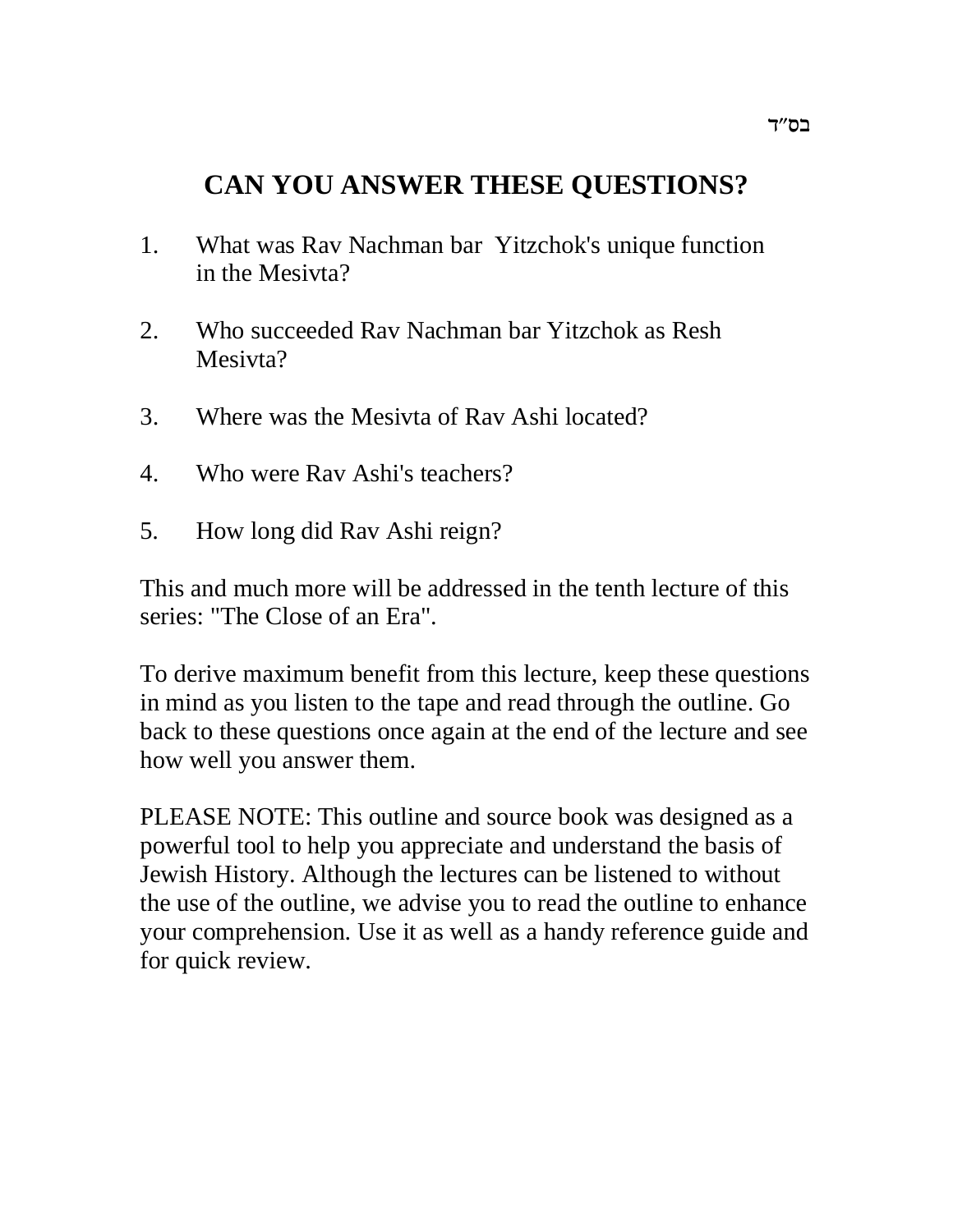# **CAN YOU ANSWER THESE QUESTIONS?**

- 1. What was Rav Nachman bar Yitzchok's unique function in the Mesivta?
- 2. Who succeeded Rav Nachman bar Yitzchok as Resh Mesivta?
- 3. Where was the Mesivta of Rav Ashi located?
- 4. Who were Rav Ashi's teachers?
- 5. How long did Rav Ashi reign?

This and much more will be addressed in the tenth lecture of this series: "The Close of an Era".

To derive maximum benefit from this lecture, keep these questions in mind as you listen to the tape and read through the outline. Go back to these questions once again at the end of the lecture and see how well you answer them.

PLEASE NOTE: This outline and source book was designed as a powerful tool to help you appreciate and understand the basis of Jewish History. Although the lectures can be listened to without the use of the outline, we advise you to read the outline to enhance your comprehension. Use it as well as a handy reference guide and for quick review.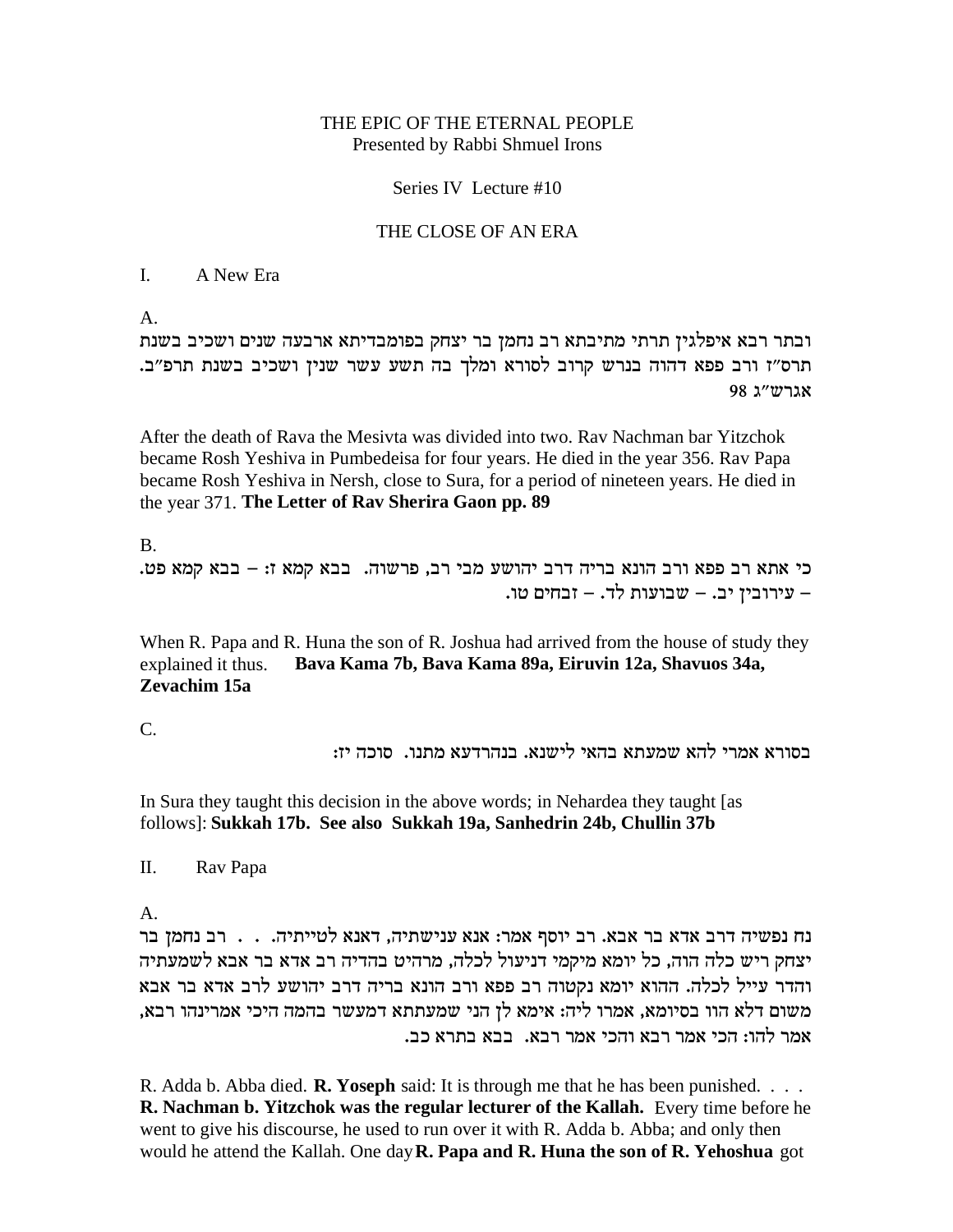#### THE EPIC OF THE ETERNAL PEOPLE Presented by Rabbi Shmuel Irons

#### Series IV Lecture #10

#### THE CLOSE OF AN ERA

#### $\mathbf{L}$ A New Era

 $A_{\cdot}$ 

ובתר רבא איפלגין תרתי מתיבתא רב נחמן בר יצחק בפומבדיתא ארבעה שנים ושכיב בשנת תרס"ז ורב פפא דהוה בנרש קרוב לסורא ומלך בה תשע עשר שנין ושכיב בשנת תרפ"ב. 98 אגרש״ג

After the death of Rava the Mesivta was divided into two. Rav Nachman bar Yitzchok became Rosh Yeshiva in Pumbedeisa for four years. He died in the year 356. Rav Papa became Rosh Yeshiva in Nersh, close to Sura, for a period of nineteen years. He died in the year 371. The Letter of Rav Sherira Gaon pp. 89

**B.** כי אתא רב פפא ורב הונא בריה דרב יהושע מבי רב, פרשוה. בבא קמא ז: – בבא קמא פט. – עירובין יב. – שבועות לד. – זבחים טו.

When R. Papa and R. Huna the son of R. Joshua had arrived from the house of study they Bava Kama 7b, Bava Kama 89a, Eiruvin 12a, Shavuos 34a, explained it thus. Zevachim 15a

 $C_{\cdot}$ 

בסורא אמרי להא שמעתא בהאי לישנא. בנהרדעא מתנו. סוכה יז:

In Sura they taught this decision in the above words; in Nehardea they taught [as follows]: Sukkah 17b. See also Sukkah 19a, Sanhedrin 24b, Chullin 37b

 $\Pi$ . Rav Papa

 $\mathbf{A}$ 

נח נפשיה דרב אדא בר אבא. רב יוסף אמר: אנא ענישתיה, דאנא לטייתיה. . . . רב נחמן בר יצחק ריש כלה הוה, כל יומא מיקמי דניעול לכלה, מרהיט בהדיה רב אדא בר אבא לשמעתיה והדר עייל לכלה. ההוא יומא נקטוה רב פפא ורב הונא בריה דרב יהושע לרב אדא בר אבא משום דלא הוו בסיומא, אמרו ליה: אימא לן הני שמעתתא דמעשר בהמה היכי אמרינהו רבא, אמר להו: הכי אמר רבא והכי אמר רבא. בבא בתרא כב.

R. Adda b. Abba died. **R. Yoseph** said: It is through me that he has been punished. . . . R. Nachman b. Yitzchok was the regular lecturer of the Kallah. Every time before he went to give his discourse, he used to run over it with R. Adda b. Abba; and only then would he attend the Kallah. One day R. Papa and R. Huna the son of R. Yehoshua got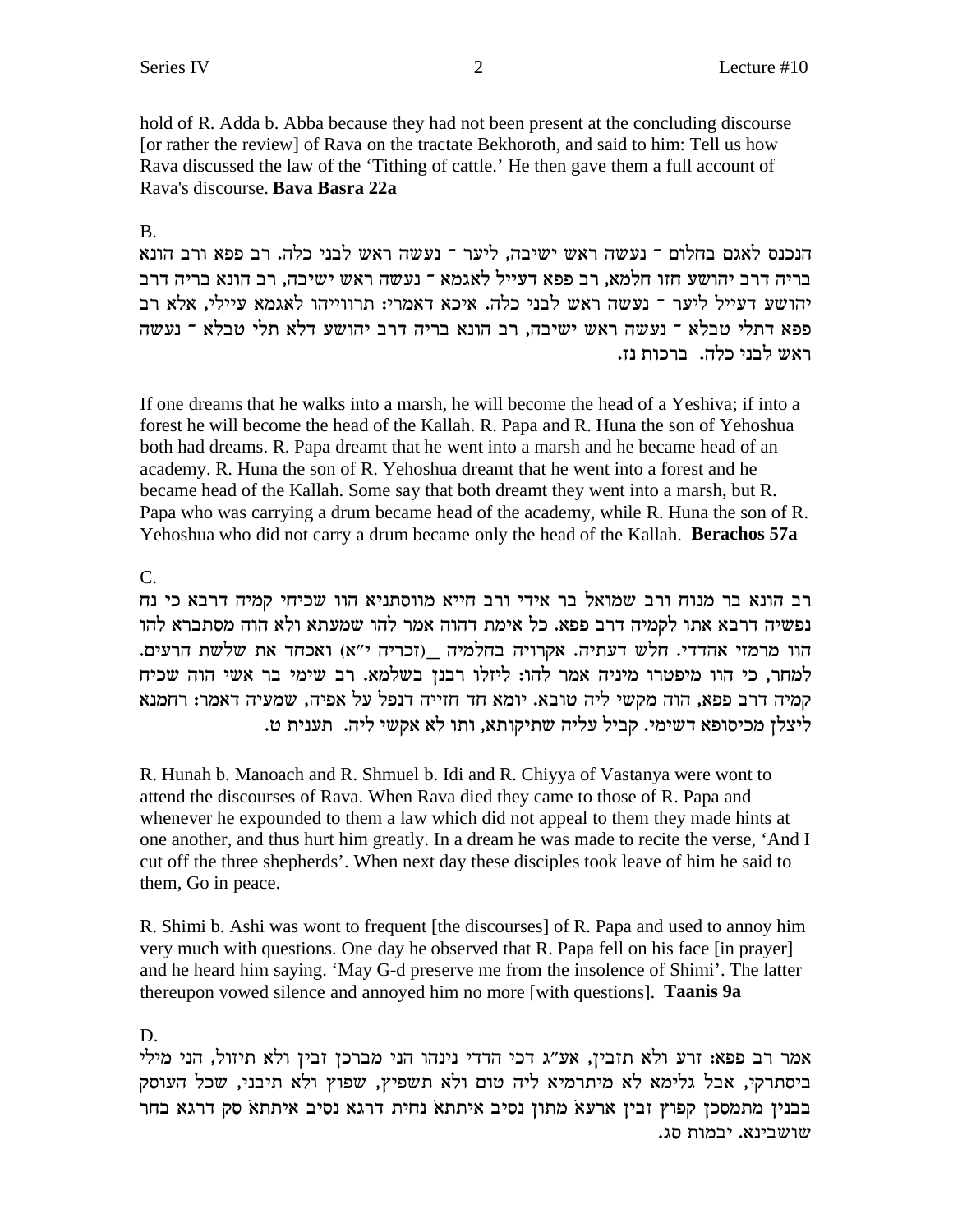hold of R. Adda b. Abba because they had not been present at the concluding discourse [or rather the review] of Rava on the tractate Bekhoroth, and said to him: Tell us how Rava discussed the law of the 'Tithing of cattle.' He then gave them a full account of Rava's discourse. **Bava Basra 22a**

## B.

הנכנס לאגם בחלום ־ נעשה ראש ישיבה, ליער ־ נעשה ראש לבני כלה. רב פפא ורב הונא בריה דרב יהושע חזו חלמא, רב פפא דעייל לאגמא ־ נעשה ראש ישיבה, רב הונא בריה דרב יהושע דעייל ליער ־ נעשה ראש לבני כלה. איכא דאמרי: תרווייהו לאגמא עיילי, אלא רב פפא דתלי טבלא ־ נעשה ראש ישיבה. רב הונא בריה דרב יהושע דלא תלי טבלא ־ נעשה  $\lambda$ ראש לבני כלה. ברכות נז

If one dreams that he walks into a marsh, he will become the head of a Yeshiva; if into a forest he will become the head of the Kallah. R. Papa and R. Huna the son of Yehoshua both had dreams. R. Papa dreamt that he went into a marsh and he became head of an academy. R. Huna the son of R. Yehoshua dreamt that he went into a forest and he became head of the Kallah. Some say that both dreamt they went into a marsh, but R. Papa who was carrying a drum became head of the academy, while R. Huna the son of R. Yehoshua who did not carry a drum became only the head of the Kallah. **Berachos 57a**

# C.

רב הונא בר מנוח ורב שמואל בר אידי ורב חייא מווסתניא הוו שכיחי קמיה דרבא כי נח נפשיה דרבא אתו לקמיה דרב פפא. כל אימת דהוה אמר להו שמעתא ולא הוה מסתברא להו הוו מרמזי אהדדי. חלש דעתיה. אקרויה בחלמיה \_(זכריה י"א) ואכחד את שלשת הרעים. למחר, כי הוו מיפטרו מיניה אמר להו: ליזלו רבנן בשלמא. רב שימי בר אשי הוה שכיח קמיה דרב פפא, הוה מקשי ליה טובא. יומא חד חזייה דנפל על אפיה, שמעיה דאמר: רחמנא .<br>ליצלן מכיסופא דשימי. קביל עליה שתיקותא, ותו לא אקשי ליה. תענית ט

R. Hunah b. Manoach and R. Shmuel b. Idi and R. Chiyya of Vastanya were wont to attend the discourses of Rava. When Rava died they came to those of R. Papa and whenever he expounded to them a law which did not appeal to them they made hints at one another, and thus hurt him greatly. In a dream he was made to recite the verse, 'And I cut off the three shepherds'. When next day these disciples took leave of him he said to them, Go in peace.

R. Shimi b. Ashi was wont to frequent [the discourses] of R. Papa and used to annoy him very much with questions. One day he observed that R. Papa fell on his face [in prayer] and he heard him saying. 'May G-d preserve me from the insolence of Shimi'. The latter thereupon vowed silence and annoyed him no more [with questions]. **Taanis 9a**

### D.

אמר רב פפא: זרע ולא תזבין, אע״ג דכי הדדי נינהו הני מברכן זבין ולא תיזול, הני מילי ביסתרקי, אבל גלימא לא מיתרמיא ליה טום ולא תשפיץ, שפוץ ולא תיבני, שכל העוסק בבנין מתמסכן קפוץ זבין ארעא מתון נסיב איתתא נחית דרגא נסיב איתתא סק דרגא בחר .שושבינא. יבמות מג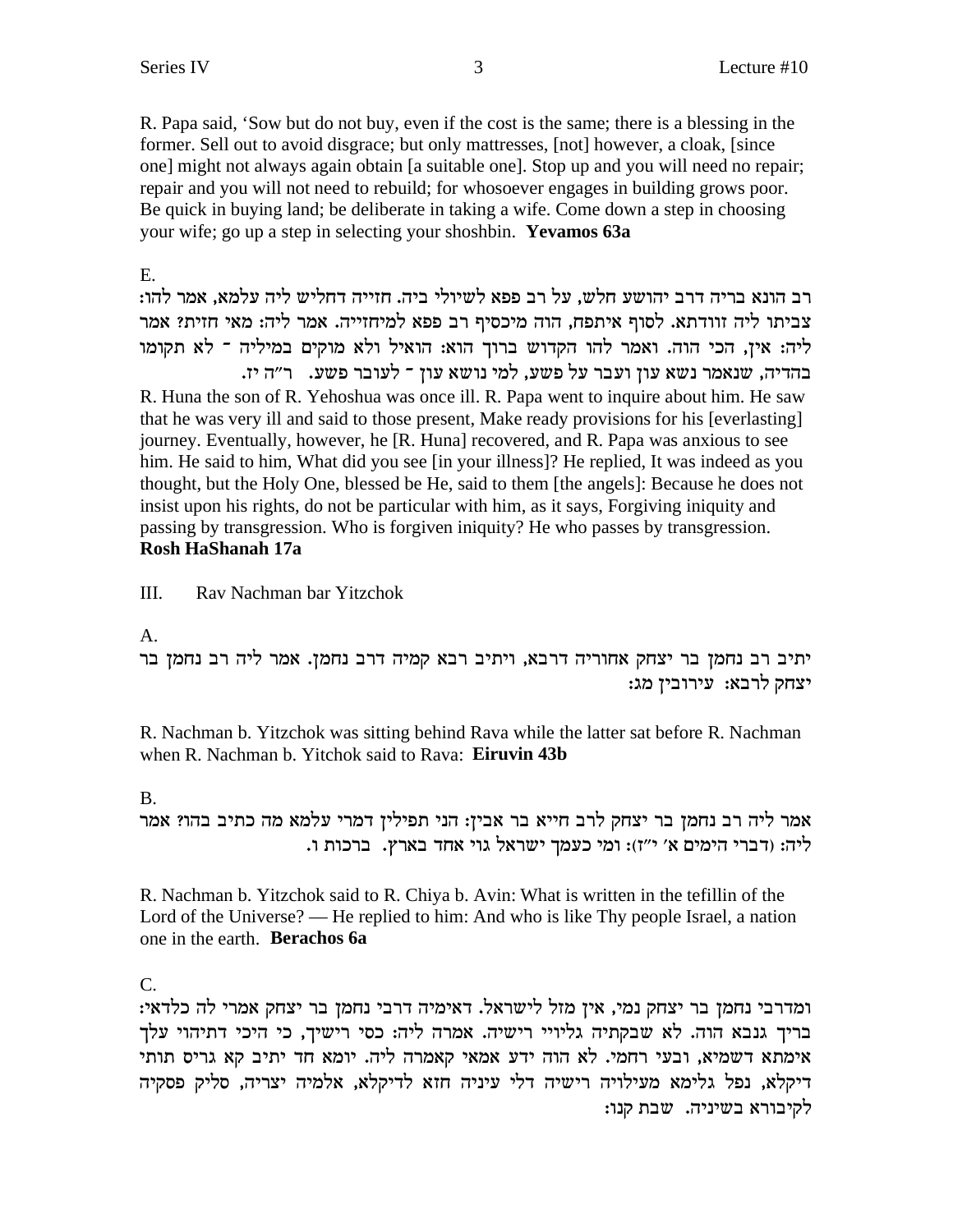R. Papa said, 'Sow but do not buy, even if the cost is the same; there is a blessing in the former. Sell out to avoid disgrace; but only mattresses, [not] however, a cloak, [since one] might not always again obtain [a suitable one]. Stop up and you will need no repair; repair and you will not need to rebuild; for whosoever engages in building grows poor. Be quick in buying land; be deliberate in taking a wife. Come down a step in choosing your wife; go up a step in selecting your shoshbin. **Yevamos 63a**

# E.

: רב הונא בריה דרב יהושע חלש, על רב פפא לשיולי ביה. חזייה דחליש ליה עלמא, אמר להו צביתו ליה זוודתא. לסוף איתפח, הוה מיכסיף רב פפא למיחזייה. אמר ליה: מאי חזית? אמר ליה: אין, הכי הוה. ואמר להו הקדוש ברוך הוא: הואיל ולא מוקים במיליה ־ לא תקומו .<br>בהדיה, שנאמר נשא עון ועבר על פשע, למי נושא עון ־ לעובר פשע. |ר״ה יז R. Huna the son of R. Yehoshua was once ill. R. Papa went to inquire about him. He saw that he was very ill and said to those present, Make ready provisions for his [everlasting] journey. Eventually, however, he [R. Huna] recovered, and R. Papa was anxious to see him. He said to him, What did you see [in your illness]? He replied, It was indeed as you thought, but the Holy One, blessed be He, said to them [the angels]: Because he does not insist upon his rights, do not be particular with him, as it says, Forgiving iniquity and passing by transgression. Who is forgiven iniquity? He who passes by transgression. **Rosh HaShanah 17a**

III. Rav Nachman bar Yitzchok

# A.

יתיב רב נחמן בר יצחק אחוריה דרבא, ויתיב רבא קמיה דרב נחמן. אמר ליה רב נחמן בר יצחק לרבא: עירובין מג:

R. Nachman b. Yitzchok was sitting behind Rava while the latter sat before R. Nachman when R. Nachman b. Yitchok said to Rava: **Eiruvin 43b**

# B.

אמר ליה רב נחמן בר יצחק לרב חייא בר אבין: הני תפילין דמרי עלמא מה כתיב בהו*י* אמר . ליה: (דברי הימים א' י"ז): ומי כעמך ישראל גוי אחד בארץ. ברכות ו

R. Nachman b. Yitzchok said to R. Chiya b. Avin: What is written in the tefillin of the Lord of the Universe? — He replied to him: And who is like Thy people Israel, a nation one in the earth. **Berachos 6a**

C.

ומדרבי נחמן בר יצחק נמי, אין מזל לישראל. דאימיה דרבי נחמן בר יצחק אמרי לה כלדאי: בריך גנבא הוה. לא שבקתיה גליויי רישיה. אמרה ליה: כסי רישיך, כי היכי דתיהוי עלך אימתא דשמיא, ובעי רחמי. לא הוה ידע אמאי קאמרה ליה. יומא חד יתיב קא גריס תותי דיקלא, נפל גלימא מעילויה רישיה דלי עיניה חזא לדיקלא, אלמיה יצריה, סליק פסקיה לקיבורא בשיניה. שבת קנו: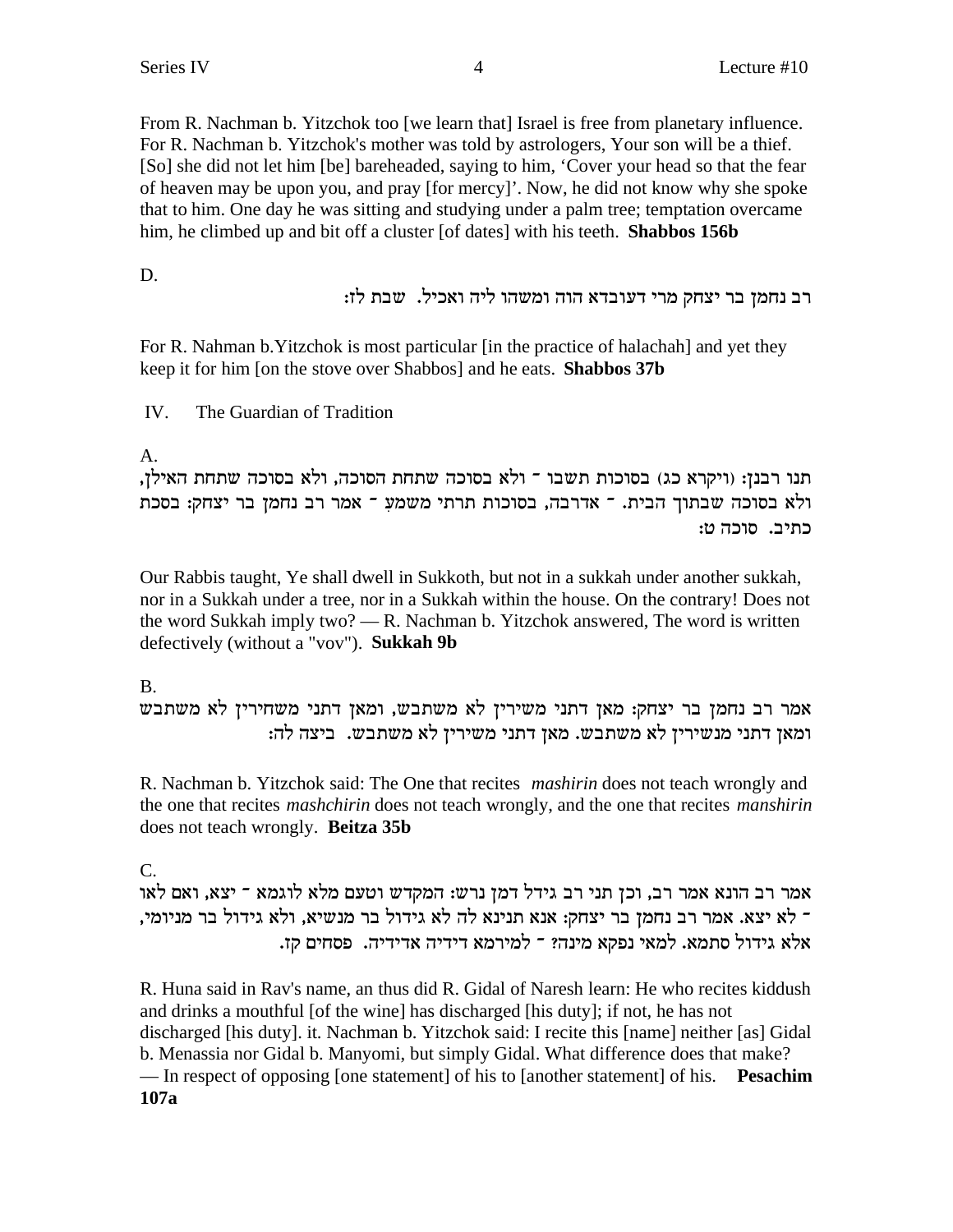From R. Nachman b. Yitzchok too [we learn that] Israel is free from planetary influence. For R. Nachman b. Yitzchok's mother was told by astrologers, Your son will be a thief. [So] she did not let him [be] bareheaded, saying to him, 'Cover your head so that the fear of heaven may be upon you, and pray [for mercy]'. Now, he did not know why she spoke that to him. One day he was sitting and studying under a palm tree; temptation overcame him, he climbed up and bit off a cluster [of dates] with his teeth. **Shabbos 156b**

D.

### . רב נחמן בר יצחק מרי דעובדא הוה ומשהו ליה ואכיל. שבת לז

For R. Nahman b.Yitzchok is most particular [in the practice of halachah] and yet they keep it for him [on the stove over Shabbos] and he eats. **Shabbos 37b**

IV. The Guardian of Tradition

### A.

תנו רבנן: (ויקרא כג) בסוכות תשבו ־ ולא בסוכה שתחת הסוכה, ולא בסוכה שתחת האילן, ולא בסוכה שבתוך הבית. <sup>-</sup> אדרבה, בסוכות תרתי משמע <sup>-</sup> אמר רב נחמן בר יצחק: בסכת כתיב. סוכה ט:

Our Rabbis taught, Ye shall dwell in Sukkoth, but not in a sukkah under another sukkah, nor in a Sukkah under a tree, nor in a Sukkah within the house. On the contrary! Does not the word Sukkah imply two? — R. Nachman b. Yitzchok answered, The word is written defectively (without a "vov"). **Sukkah 9b**

B.

אמר רב נחמן בר יצחק: מאן דתני משירין לא משתבש, ומאן דתני משחירין לא משתבש .<br>ומאן דתני מנשירין לא משתבש. מאן דתני משירין לא משתבש. ביצה לה

R. Nachman b. Yitzchok said: The One that recites *mashirin* does not teach wrongly and the one that recites *mashchirin* does not teach wrongly, and the one that recites *manshirin* does not teach wrongly. **Beitza 35b**

C.

אמר רב הונא אמר רב, וכן תני רב גידל דמן נרש: המקדש וטעם מלא לוגמא ־ יצא, ואם לאו , לא יצא. אמר רב נחמן בר יצחק: אנא תנינא לה לא גידול בר מנשיא, ולא גידול בר מניומי .<br>אלא גידול סתמא. למאי נפקא מינה? <sup>–</sup> למירמא דידיה אדידיה. פסחים קז

R. Huna said in Rav's name, an thus did R. Gidal of Naresh learn: He who recites kiddush and drinks a mouthful [of the wine] has discharged [his duty]; if not, he has not discharged [his duty]. it. Nachman b. Yitzchok said: I recite this [name] neither [as] Gidal b. Menassia nor Gidal b. Manyomi, but simply Gidal. What difference does that make? — In respect of opposing [one statement] of his to [another statement] of his. **Pesachim 107a**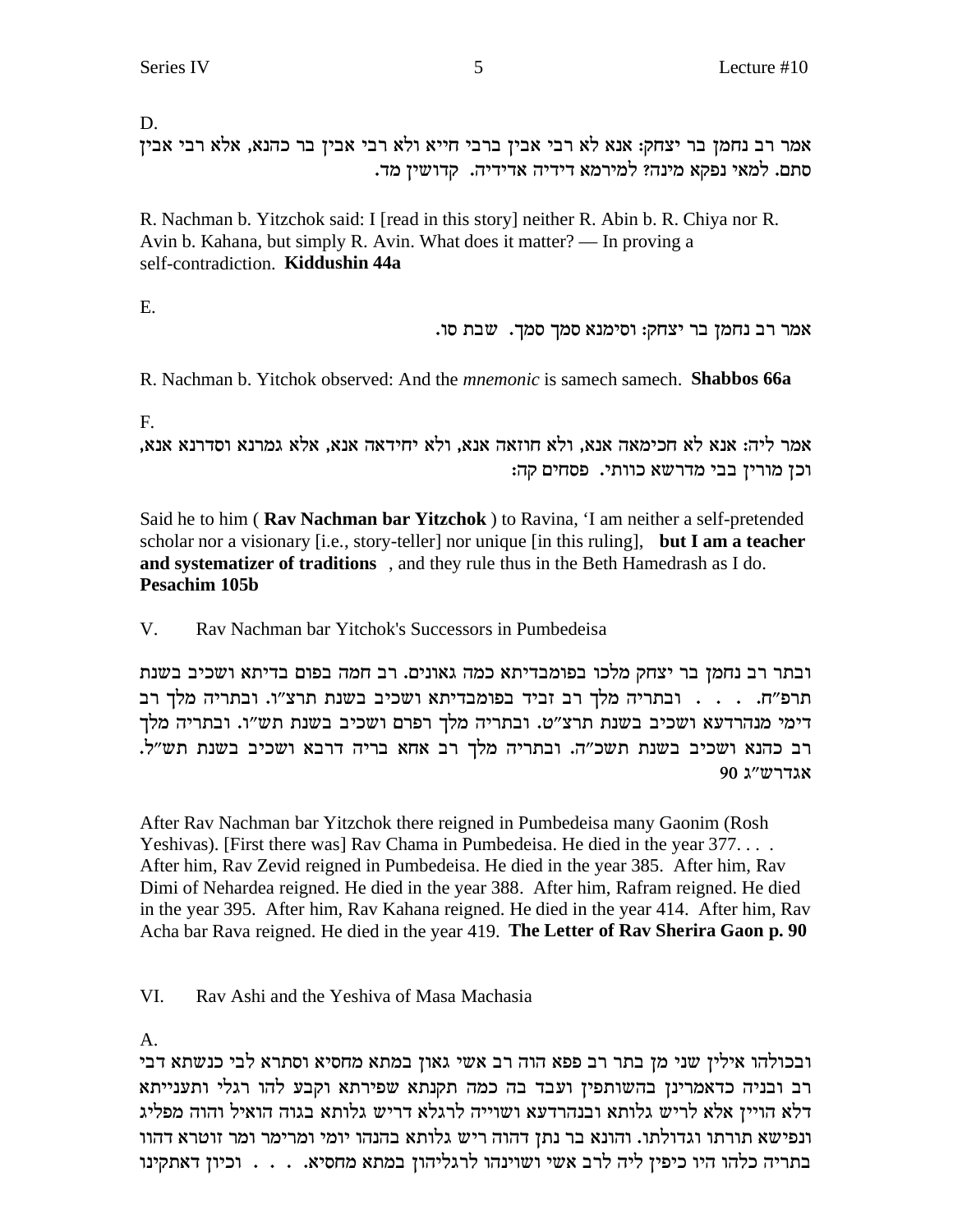D.

אמר רב נחמן בר יצחק: אנא לא רבי אבין ברבי חייא ולא רבי אבין בר כהנא, אלא רבי אבין . סתם. למאי נפקא מינה? למירמא דידיה אדידיה. קדושין מד

R. Nachman b. Yitzchok said: I [read in this story] neither R. Abin b. R. Chiya nor R. Avin b. Kahana, but simply R. Avin. What does it matter? — In proving a self-contradiction. **Kiddushin 44a**

E.

.<br>אמר רב נחמן בר יצחק: וסימנא סמך סמך. שבת סו

R. Nachman b. Yitchok observed: And the *mnemonic* is samech samech. **Shabbos 66a**

F.

,אמר ליה: אנא לא חכימאה אנא, ולא חוזאה אנא, ולא יחידאה אנא, אלא גמרנא וסדרנא אנא וכן מורין בבי מדרשא כוותי. פסחים קה:

Said he to him ( **Rav Nachman bar Yitzchok** ) to Ravina, 'I am neither a self-pretended scholar nor a visionary [i.e., story-teller] nor unique [in this ruling], **but I am a teacher and systematizer of traditions** , and they rule thus in the Beth Hamedrash as I do. **Pesachim 105b**

V. Rav Nachman bar Yitchok's Successors in Pumbedeisa

ובתר רב נחמן בר יצחק מלכו בפומבדיתא כמה גאונים. רב חמה בפום בדיתא ושכיב בשנת תרפ"ח. . . . ובתריה מלך רב זביד בפומבדיתא ושכיב בשנת תרצ"ו. ובתריה מלך רב דימי מנהרדעא ושכיב בשנת תרצ"ט. ובתריה מלך רפרם ושכיב בשנת תש"ו. ובתריה מלך .<br>רב כהנא ושכיב בשנת תשכ״ה, ובתריה מלך רב אחא בריה דרבא ושכיב בשנת תש״ל. 90 אגדרש"ג

After Rav Nachman bar Yitzchok there reigned in Pumbedeisa many Gaonim (Rosh Yeshivas). [First there was] Rav Chama in Pumbedeisa. He died in the year 377.... After him, Rav Zevid reigned in Pumbedeisa. He died in the year 385. After him, Rav Dimi of Nehardea reigned. He died in the year 388. After him, Rafram reigned. He died in the year 395. After him, Rav Kahana reigned. He died in the year 414. After him, Rav Acha bar Rava reigned. He died in the year 419. **The Letter of Rav Sherira Gaon p. 90**

VI. Rav Ashi and the Yeshiva of Masa Machasia

A.

ובכולהו אילין שני מן בתר רב פפא הוה רב אשי גאון במתא מחסיא וסתרא לבי כנשתא דבי רב ובניה כדאמרינן בהשותפין ועבד בה כמה תקנתא שפירתא וקבע להו רגלי ותענייתא דלא הויין אלא לריש גלותא ובנהרדעא ושוייה לרגלא דריש גלותא בגוה הואיל והוה מפליג ונפישא תורתו וגדולתו. והונא בר נתן דהוה ריש גלותא בהנהו יומי ומרימר ומר זוטרא דהוו בתריה כלהו היו כיפין ליה לרב אשי ושוינהו לרגליהון במתא מחסיא. . . . . וכיון דאתקינו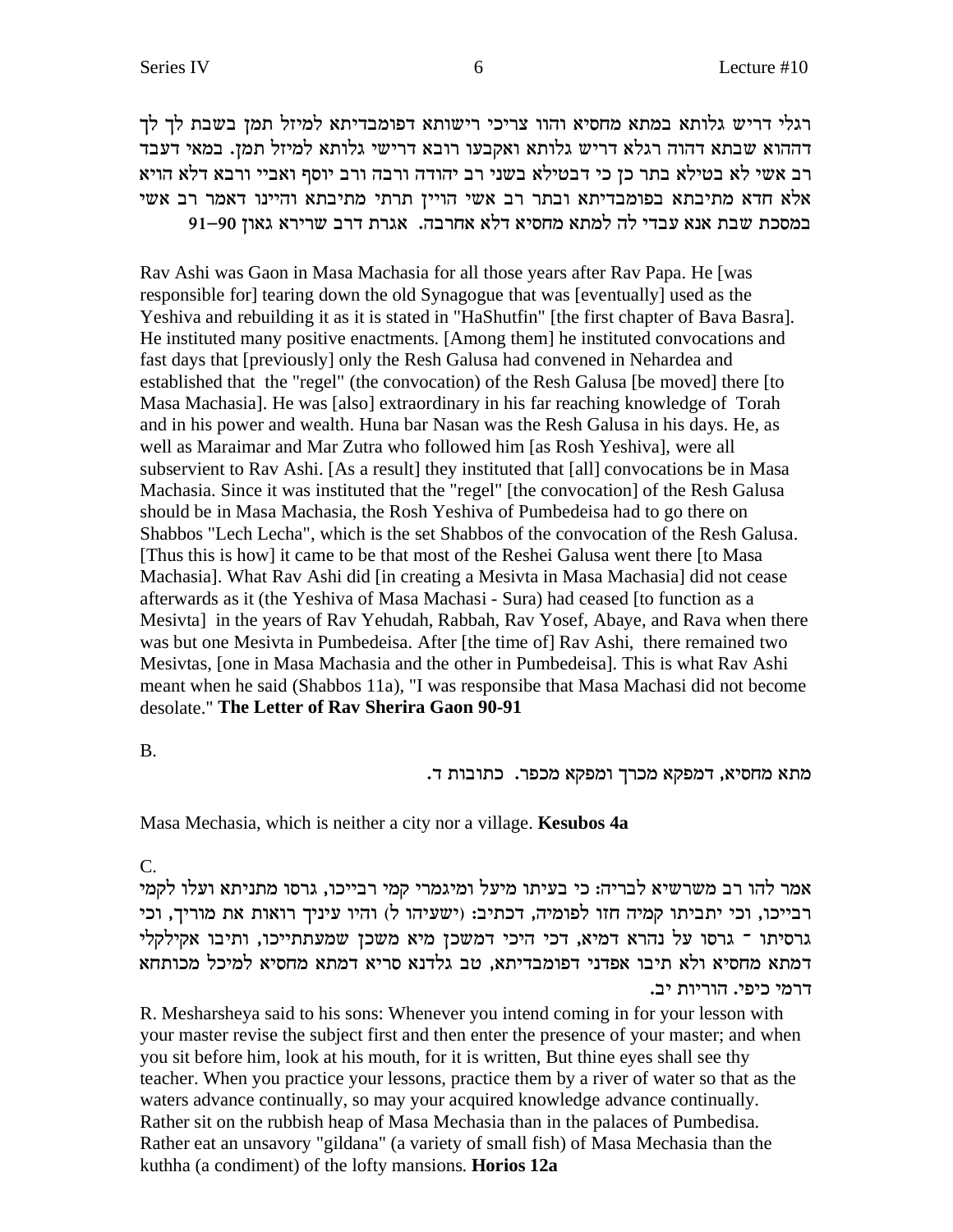רגלי דריש גלותא במתא מחסיא והוו צריכי רישותא דפומבדיתא למיזל תמן בשבת לך לך דההוא שבתא דהוה רגלא דריש גלותא ואקבעו רובא דרישי גלותא למיזל תמן. במאי דעבד רב אשי לא בטילא בתר כן כי דבטילא בשני רב יהודה ורבה ורב יוסף ואביי ורבא דלא הויא אלא חדא מתיבתא בפומבדיתא ובתר רב אשי הויין תרתי מתיבתא והיינו דאמר רב אשי 91–90 במסכת שבת אנא עבדי לה למתא מחסיא דלא אחרבה. אגרת דרב שרירא גאון

Rav Ashi was Gaon in Masa Machasia for all those years after Rav Papa. He [was responsible for] tearing down the old Synagogue that was [eventually] used as the Yeshiva and rebuilding it as it is stated in "HaShutfin" [the first chapter of Bava Basra]. He instituted many positive enactments. [Among them] he instituted convocations and fast days that [previously] only the Resh Galusa had convened in Nehardea and established that the "regel" (the convocation) of the Resh Galusa [be moved] there [to Masa Machasia]. He was [also] extraordinary in his far reaching knowledge of Torah and in his power and wealth. Huna bar Nasan was the Resh Galusa in his days. He, as well as Maraimar and Mar Zutra who followed him [as Rosh Yeshiva], were all subservient to Rav Ashi. [As a result] they instituted that [all] convocations be in Masa Machasia. Since it was instituted that the "regel" [the convocation] of the Resh Galusa should be in Masa Machasia, the Rosh Yeshiva of Pumbedeisa had to go there on Shabbos "Lech Lecha", which is the set Shabbos of the convocation of the Resh Galusa. [Thus this is how] it came to be that most of the Reshei Galusa went there [to Masa Machasia]. What Rav Ashi did [in creating a Mesivta in Masa Machasia] did not cease afterwards as it (the Yeshiva of Masa Machasi - Sura) had ceased [to function as a Mesivta] in the years of Rav Yehudah, Rabbah, Rav Yosef, Abaye, and Rava when there was but one Mesivta in Pumbedeisa. After [the time of] Rav Ashi, there remained two Mesivtas, [one in Masa Machasia and the other in Pumbedeisa]. This is what Rav Ashi meant when he said (Shabbos 11a), "I was responsibe that Masa Machasi did not become desolate." **The Letter of Rav Sherira Gaon 90-91**

B.

.מתא מחסיא, דמפקא מכרך ומפקא מכפר. כתובות ד

Masa Mechasia, which is neither a city nor a village. **Kesubos 4a**

C.

אמר להו רב משרשיא לבריה: כי בעיתו מיעל ומיגמרי קמי רבייכו, גרסו מתניתא ועלו לקמי ובייכו, וכי יתביתו קמיה חזו לפומיה, דכתיב: (ישעיהו ל) והיו עיניך רואות את מוריך, וכי גרסיתו <sup>-</sup> גרסו על נהרא דמיא, דכי היכי דמשכן מיא משכן שמעתתייכו, ותיבו אקילקלי דמתא מחסיא ולא תיבו אפדני דפומבדיתא, טב גלדנא סריא דמתא מחסיא למיכל מכותחא . דרמי כיפי, הוריות יב

R. Mesharsheya said to his sons: Whenever you intend coming in for your lesson with your master revise the subject first and then enter the presence of your master; and when you sit before him, look at his mouth, for it is written, But thine eyes shall see thy teacher. When you practice your lessons, practice them by a river of water so that as the waters advance continually, so may your acquired knowledge advance continually. Rather sit on the rubbish heap of Masa Mechasia than in the palaces of Pumbedisa. Rather eat an unsavory "gildana" (a variety of small fish) of Masa Mechasia than the kuthha (a condiment) of the lofty mansions. **Horios 12a**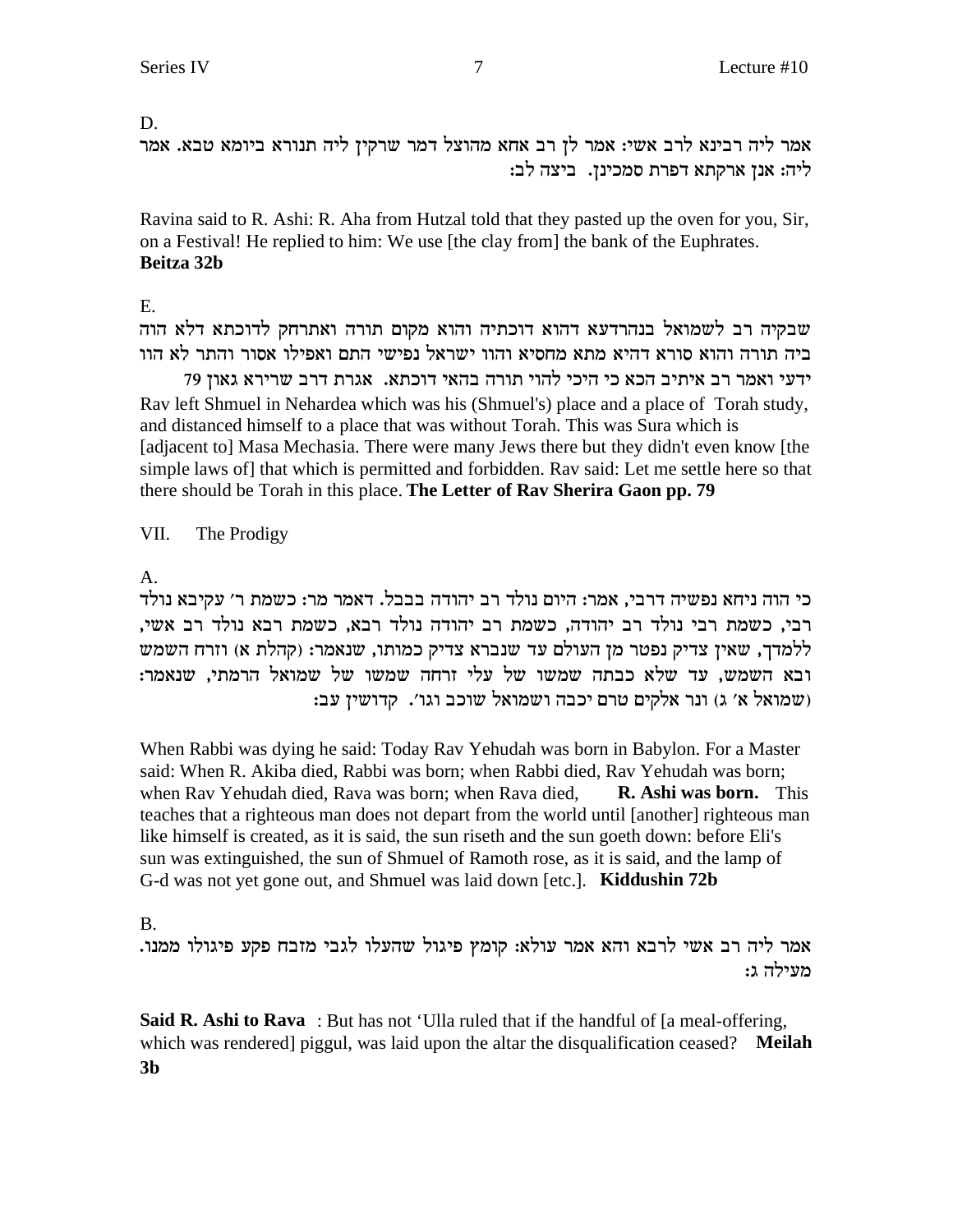#### D.

אמר ליה רבינא לרב אשי: אמר לן רב אחא מהוצל דמר שרקין ליה תנורא ביומא טבא. אמר ליה: אנן ארקתא דפרת סמכינן. ביצה לב:

Ravina said to R. Ashi: R. Aha from Hutzal told that they pasted up the oven for you, Sir, on a Festival! He replied to him: We use [the clay from] the bank of the Euphrates. **Beitza 32b**

# E.

שבקיה רב לשמואל בנהרדעא דהוא דוכתיה והוא מקום תורה ואתרחק לדוכתא דלא הוה ביה תורה והוא סורא דהיא מתא מחסיא והוו ישראל נפישי התם ואפילו אסור והתר לא הוו

ידעי ואמר רב איתיב הכא כי היכי להוי תורה בהאי דוכתא. אגרת דרב שרירא גאון 79 Rav left Shmuel in Nehardea which was his (Shmuel's) place and a place of Torah study, and distanced himself to a place that was without Torah. This was Sura which is [adjacent to] Masa Mechasia. There were many Jews there but they didn't even know [the simple laws of] that which is permitted and forbidden. Rav said: Let me settle here so that there should be Torah in this place. **The Letter of Rav Sherira Gaon pp. 79**

VII. The Prodigy

# A.

כי הוה ניחא נפשיה דרבי, אמר: היום נולד רב יהודה בבבל. דאמר מר: כשמת ר׳ עקיבא נולד , רבי, כשמת רבי נולד רב יהודה, כשמת רב יהודה נולד רבא נולד ו- משי ללמדך, שאין צדיק נפטר מן העולם עד שנברא צדיק כמותו, שנאמר: (קהלת א) וזרח השמש ובא השמש, עד שלא כבתה שמשו של עלי זרחה שמשו של שמואל הרמתי, שנאמר: : שמואל א׳ ג) ונר אלקים טרם יכבה ושמואל שוכב וגו׳. קדושין עב

When Rabbi was dying he said: Today Rav Yehudah was born in Babylon. For a Master said: When R. Akiba died, Rabbi was born; when Rabbi died, Rav Yehudah was born; when Rav Yehudah died, Rava was born; when Rava died, **R. Ashi was born.** This teaches that a righteous man does not depart from the world until [another] righteous man like himself is created, as it is said, the sun riseth and the sun goeth down: before Eli's sun was extinguished, the sun of Shmuel of Ramoth rose, as it is said, and the lamp of G-d was not yet gone out, and Shmuel was laid down [etc.]. **Kiddushin 72b**

# B.

.<br>אמר ליה רב אשי לרבא והא אמר עולא: קומץ פיגול שהעלו לגבי מזבח פקע פיגולו ממנו :מעילה ג

**Said R. Ashi to Rava** : But has not 'Ulla ruled that if the handful of [a meal-offering, which was rendered] piggul, was laid upon the altar the disqualification ceased? **Meilah 3b**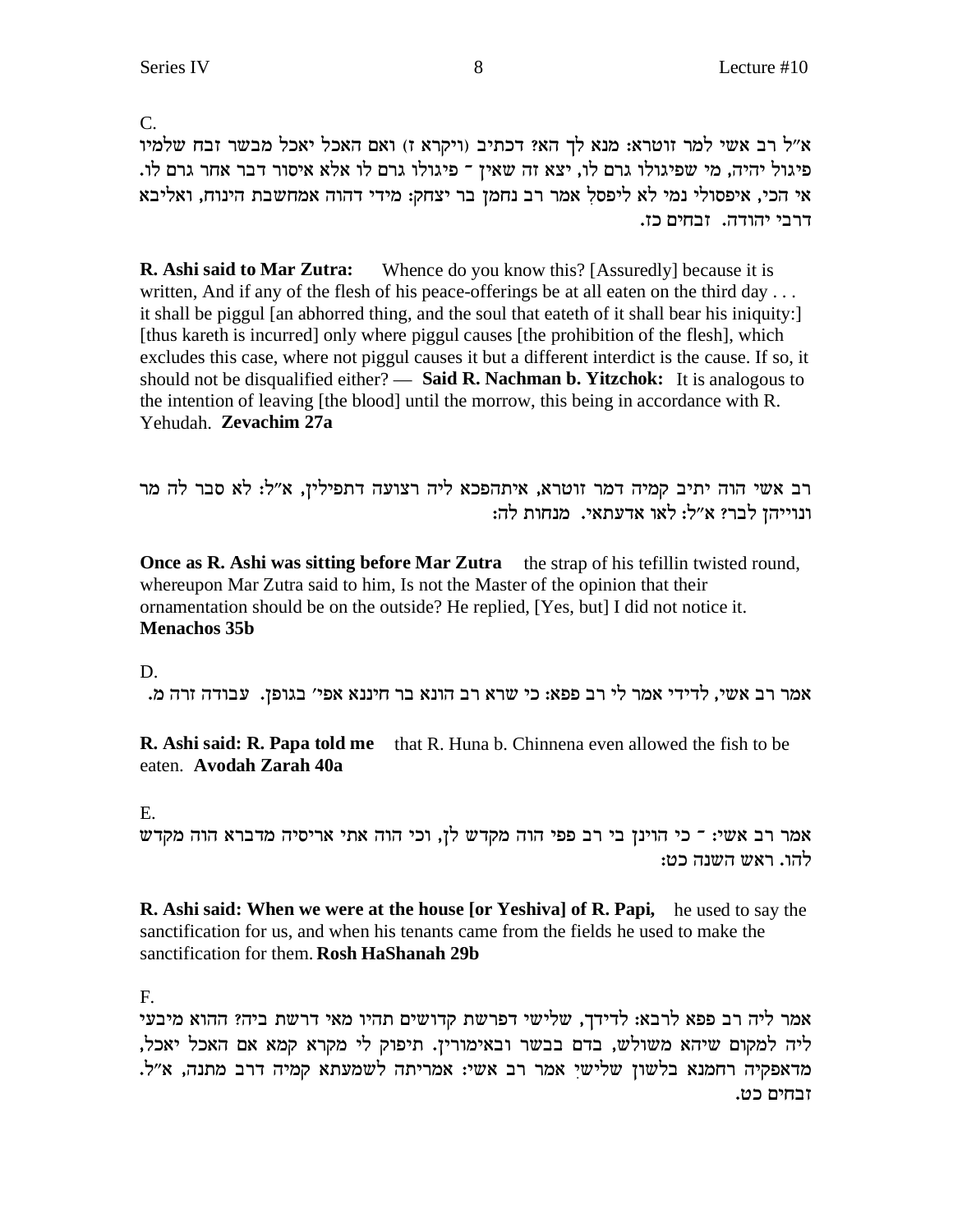$\overline{C}$ .

א״ל רב אשי למר זוטרא: מנא לך הא? דכתיב (ויקרא ז) ואם האכל יאכל מבשר זבח שלמיו פיגול יהיה, מי שפיגולו גרם לו, יצא זה שאין ־ פיגולו גרם לו אלא איסור דבר אחר גרם לו. אי הכי, איפסולי נמי לא ליפסל אמר רב נחמן בר יצחק: מידי דהוה אמחשבת הינוח, ואליבא דרבי יהודה. זבחים כז.

R. Ashi said to Mar Zutra: Whence do you know this? [Assuredly] because it is written, And if any of the flesh of his peace-offerings be at all eaten on the third day ... it shall be piggul [an abhorred thing, and the soul that eateth of it shall bear his iniquity:] [thus kare the is incurred] only where piggul causes [the prohibition of the flesh], which excludes this case, where not piggul causes it but a different interdict is the cause. If so, it should not be disqualified either? — Said R. Nachman b. Yitzchok: It is analogous to the intention of leaving [the blood] until the morrow, this being in accordance with R. Yehudah. Zevachim 27a

רב אשי הוה יתיב קמיה דמר זוטרא, איתהפכא ליה רצועה דתפילין, א"ל: לא סבר לה מר ונוייהז לבר? א"ל: לאו אדעתאי. מנחות לה:

**Once as R. Ashi was sitting before Mar Zutra** the strap of his tefillin twisted round, whereupon Mar Zutra said to him, Is not the Master of the opinion that their ornamentation should be on the outside? He replied, [Yes, but] I did not notice it. **Menachos 35b** 

 $D<sub>1</sub>$ 

אמר רב אשי, לדידי אמר לי רב פפא: כי שרא רב הונא בר חיננא אפי׳ בגופז. עבודה זרה מ.

**R. Ashi said: R. Papa told me** that R. Huna b. Chinnena even allowed the fish to be eaten. Avodah Zarah 40a

E.

אמר רב אשי: ־ כי הוינן בי רב פפי הוה מקדש לן, וכי הוה אתי אריסיה מדברא הוה מקדש להו. ראש השנה כט:

**R.** Ashi said: When we were at the house [or Yeshiva] of R. Papi, he used to say the sanctification for us, and when his tenants came from the fields he used to make the sanctification for them. Rosh HaShanah 29b

 $F_{\cdot}$ 

אמר ליה רב פפא לרבא: לדידך, שלישי דפרשת קדושים תהיו מאי דרשת ביה? ההוא מיבעי ליה למקום שיהא משולש, בדם בבשר ובאימורין. תיפוק לי מקרא קמא אם האכל יאכל, מדאפקיה רחמנא בלשון שלישי אמר רב אשי: אמריתה לשמעתא קמיה דרב מתנה, א"ל. זבחים כט.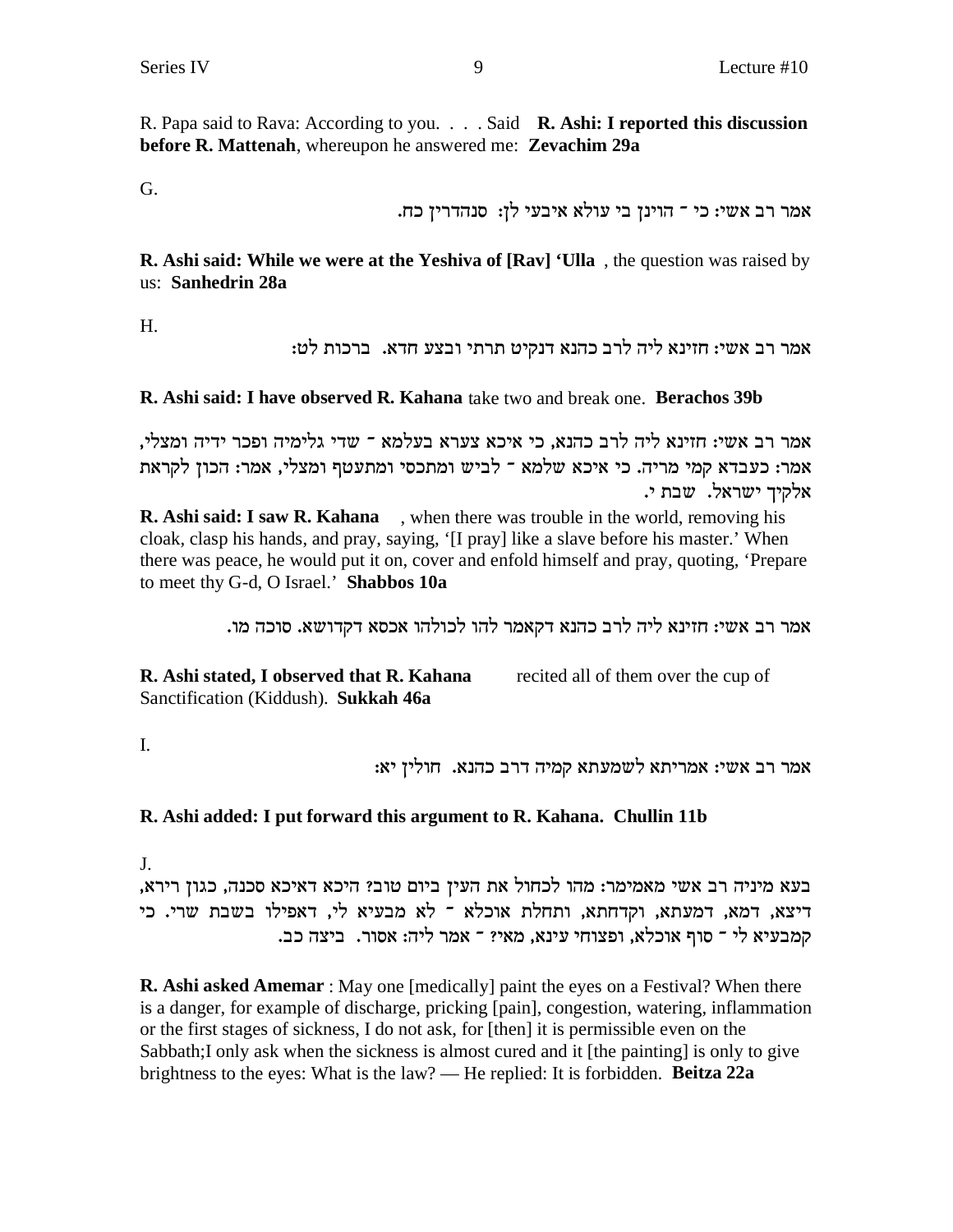R. Papa said to Rava: According to you. . . . Said **R. Ashi: I reported this discussion before R. Mattenah**, whereupon he answered me: **Zevachim 29a**

G.

.<br>אמר רב אשי: כי ־ הוינן בי עולא איבעי לן: סנהדרין כח

**R. Ashi said: While we were at the Yeshiva of [Rav] 'Ulla** , the question was raised by us: **Sanhedrin 28a**

H.

:אמר רב אשי: חזינא ליה לרב כהנא דנקיט תרתי ובצע חדא. ברכות לט

### **R. Ashi said: I have observed R. Kahana** take two and break one. **Berachos 39b**

, אמר רב אשי: חזינא ליה לרב כהנא, כי איכא צערא בעלמא <sup>-</sup> שדי גלימיה ופכר ידיה ומצלי אמר: כעבדא קמי מריה. כי איכא שלמא <sup>-</sup> לביש ומתכסי ומתעטף ומצלי, אמר: הכון לקראת .אלקיך ישראל. שבת י

**R. Ashi said: I saw R. Kahana** , when there was trouble in the world, removing his cloak, clasp his hands, and pray, saying, '[I pray] like a slave before his master.' When there was peace, he would put it on, cover and enfold himself and pray, quoting, 'Prepare to meet thy G-d, O Israel.'**Shabbos 10a**

.<br>אמר רב אשי: חזינא ליה לרב כהנא דקאמר להו לכולהו אכסא דקדושא. סוכה מו

**R. Ashi stated, I observed that R. Kahana** recited all of them over the cup of Sanctification (Kiddush). **Sukkah 46a**

I.

: אמר רב אשי: אמריתא לשמעתא קמיה דרב כהנא. חולין יא

### **R. Ashi added: I put forward this argument to R. Kahana. Chullin 11b**

J.

, בעא מיניה רב אשי מאמימר: מהו לכחול את העין ביום טוב? היכא דאיכא סכנה, כגון רירא דיצא, דמא, דמעתא, וקדחתא, ותחלת אוכלא <sup>-</sup> לא מבעיא לי, דאפילו בשבת שרי. כי .<br>המבעיא לי ־ סוף אוכלא, ופצוחי עינא, מאי? ־ אמר ליה: אסור. ביצה כב

**R. Ashi asked Amemar** : May one [medically] paint the eyes on a Festival? When there is a danger, for example of discharge, pricking [pain], congestion, watering, inflammation or the first stages of sickness, I do not ask, for [then] it is permissible even on the Sabbath;I only ask when the sickness is almost cured and it [the painting] is only to give brightness to the eyes: What is the law? — He replied: It is forbidden. **Beitza 22a**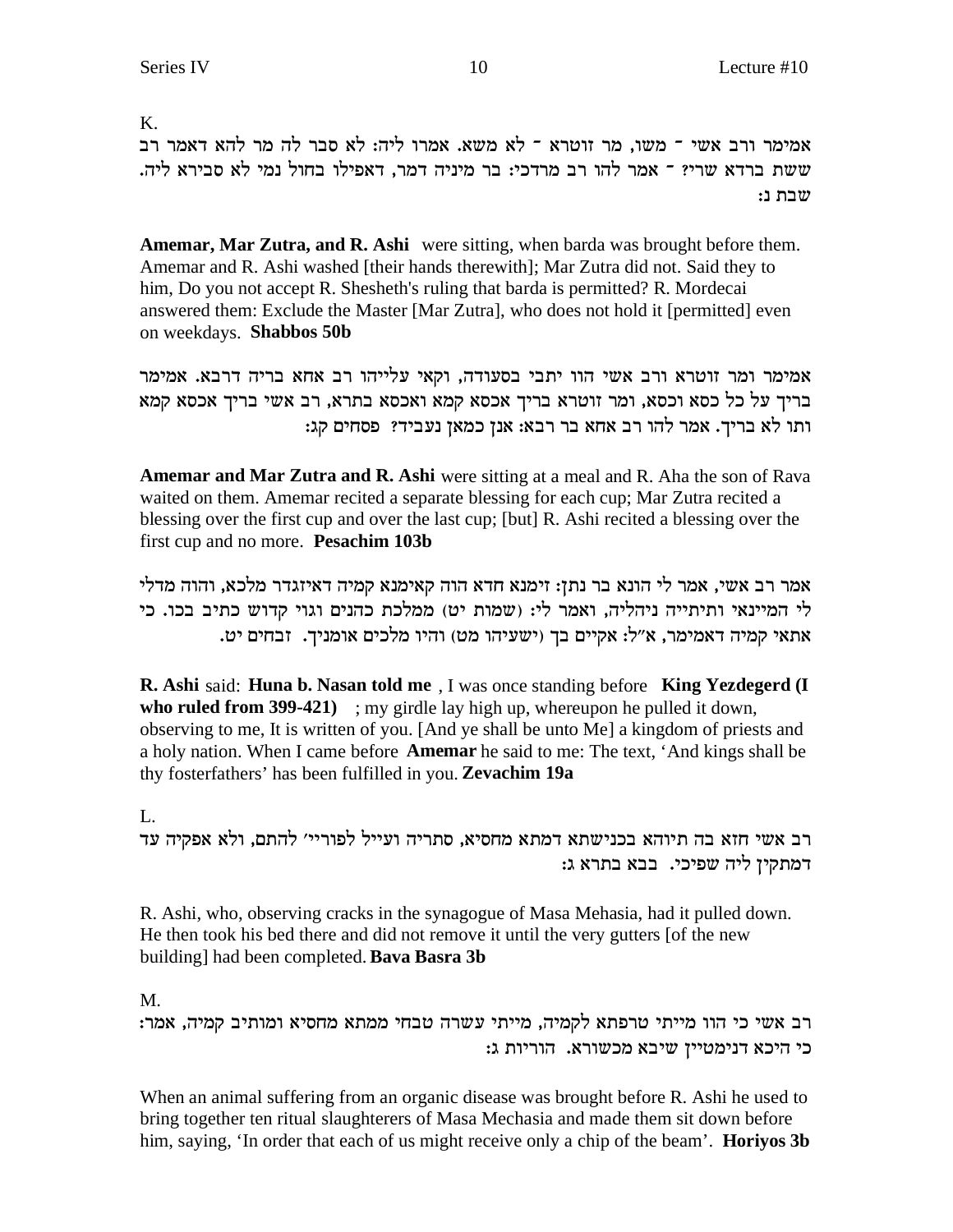K. אמימר ורב אשי ־ משו, מר זוטרא ־ לא משא. אמרו ליה: לא סבר לה מר להא דאמר רב ש. מעת ברדא שרי? ־ אמר להו רב מרדכי: בר מיניה דמר, דאפילו בחול נמי לא סבירא ליה :ש בת $w$ 

**Amemar, Mar Zutra, and R. Ashi** were sitting, when barda was brought before them. Amemar and R. Ashi washed [their hands therewith]; Mar Zutra did not. Said they to him, Do you not accept R. Shesheth's ruling that barda is permitted? R. Mordecai answered them: Exclude the Master [Mar Zutra], who does not hold it [permitted] even on weekdays. **Shabbos 50b**

אמימר ומר זוטרא ורב אשי הוו יתבי בסעודה, וקאי עלייהו רב אחא בריה דרבא. אמימר בריך על כל כסא וכסא, ומר זוטרא בריך אכסא קמא ואכסא בתרא, רב אשי בריך אכסא קמא ותו לא בריך. אמר להו רב אחא בר רבא: אנן כמאן נעביד? פסחים קג:

**Amemar and Mar Zutra and R. Ashi** were sitting at a meal and R. Aha the son of Rava waited on them. Amemar recited a separate blessing for each cup; Mar Zutra recited a blessing over the first cup and over the last cup; [but] R. Ashi recited a blessing over the first cup and no more. **Pesachim 103b**

אמר רב אשי, אמר לי הונא בר נתן: זימנא חדא הוה קאימנא קמיה דאיזגדר מלכא, והוה מדלי לי המיינאי ותיתייה ניהליה, ואמר לי: (שמות יט) ממלכת כהנים וגוי קדוש כתיב בכו. כי .hi אתאי קמיה דאמימר, א"ל: אקיים בך (ישעיהו מט) והיו מלכים אומניך. זבחים יט

**R. Ashi** said: **Huna b. Nasan told me** , I was once standing before **King Yezdegerd (I who ruled from 399-421)** ; my girdle lay high up, whereupon he pulled it down, observing to me, It is written of you. [And ye shall be unto Me] a kingdom of priests and a holy nation. When I came before **Amemar** he said to me: The text, 'And kings shall be thy fosterfathers' has been fulfilled in you. **Zevachim 19a**

### $L$

רב אשי חזא בה תיוהא בכנישתא דמתא מחסיא, סתריה ועייל לפוריי׳ להתם, ולא אפקיה עד .<br>דמתקין ליה שפיכי. בבא בתרא ג:

R. Ashi, who, observing cracks in the synagogue of Masa Mehasia, had it pulled down. He then took his bed there and did not remove it until the very gutters [of the new building] had been completed. **Bava Basra 3b**

### M.

. רב אשי כי הוו מייתי טרפתא לקמיה, מייתי עשרה טבחי ממתא מחסיא ומותיב קמיה, אמר : כי היכא דנימטיין שיבא מכשורא. הוריות ג

When an animal suffering from an organic disease was brought before R. Ashi he used to bring together ten ritual slaughterers of Masa Mechasia and made them sit down before him, saying, 'In order that each of us might receive only a chip of the beam'. **Horiyos 3b**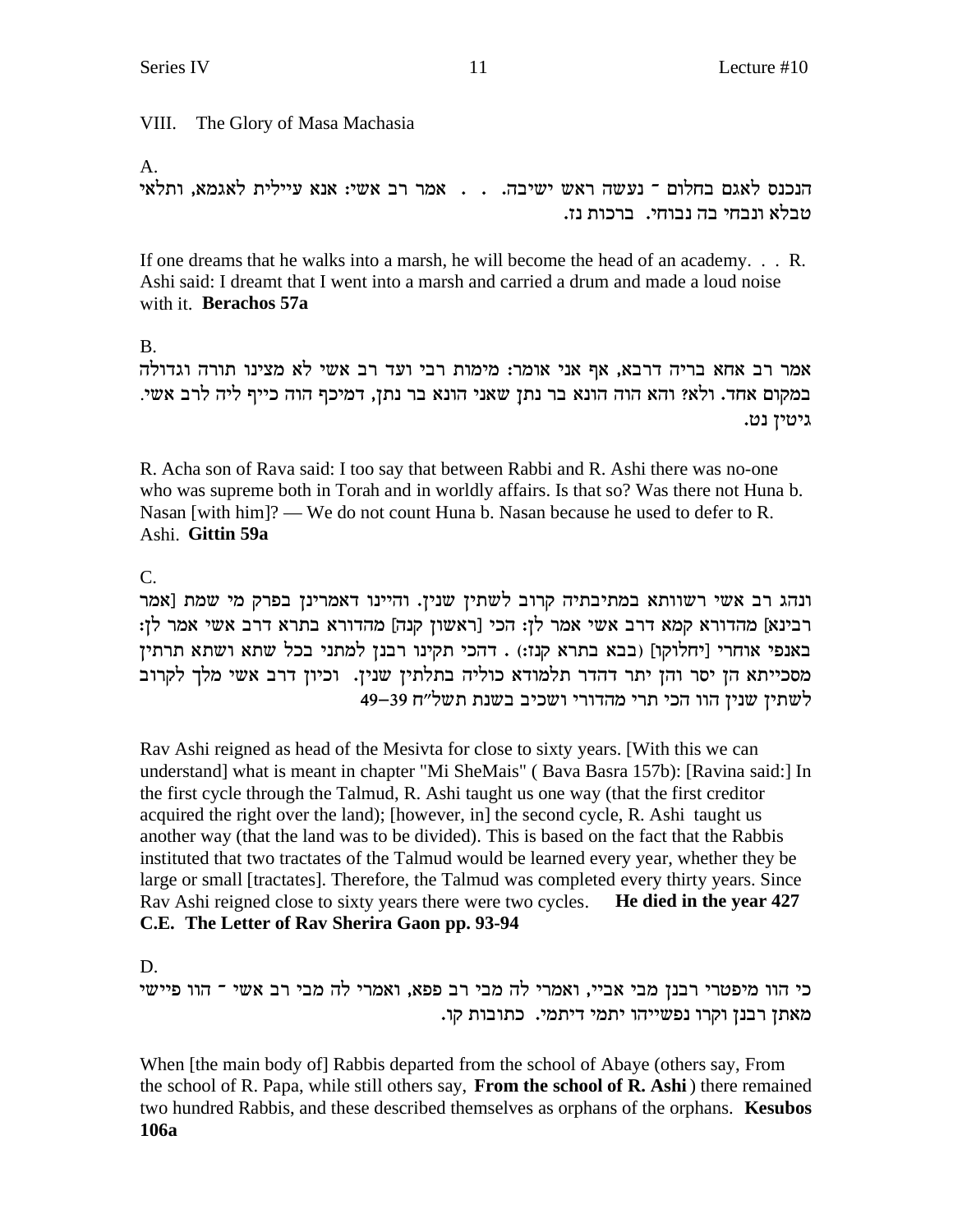VIII. The Glory of Masa Machasia

A.

הנכנס לאגם בחלום ־ נעשה ראש ישיבה. . . אמר רב אשי: אנא עיילית לאגמא, ותלאי טבלא ונבחי בה נבוחי. ברכות נז.

If one dreams that he walks into a marsh, he will become the head of an academy. . . R. Ashi said: I dreamt that I went into a marsh and carried a drum and made a loud noise with it. Berachos 57a

# **B.**

אמר רב אחא בריה דרבא, אף אני אומר: מימות רבי ועד רב אשי לא מצינו תורה וגדולה במקום אחד. ולא? והא הוה הונא בר נתן שאני הונא בר נתן, דמיכף הוה כייף ליה לרב אשי. גיטין נט.

R. Acha son of Rava said: I too say that between Rabbi and R. Ashi there was no-one who was supreme both in Torah and in worldly affairs. Is that so? Was there not Huna b. Nasan [with him]? — We do not count Huna b. Nasan because he used to defer to R. Ashi. Gittin 59a

# $C_{\cdot}$

ונהג רב אשי רשוותא במתיבתיה קרוב לשתין שנין. והיינו דאמרינן בפרק מי שמת [אמר רבינא] מהדורא קמא דרב אשי אמר לן: הכי [ראשון קנה] מהדורא בתרא דרב אשי אמר לן: באנפי אוחרי [יחלוקו] (בבא בתרא קנז:) . דהכי תקינו רבנן למתני בכל שתא ושתא תרתין מסכייתא הן יסר והן יתר דהדר תלמודא כוליה בתלתין שנין. וכיון דרב אשי מלך לקרוב לשתין שנין הוו הכי תרי מהדורי ושכיב בשנת תשל"ח 49–49

Rav Ashi reigned as head of the Mesivta for close to sixty years. [With this we can understand] what is meant in chapter "Mi SheMais" (Bava Basra 157b): [Ravina said:] In the first cycle through the Talmud, R. Ashi taught us one way (that the first creditor acquired the right over the land); [however, in] the second cycle, R. Ashi taught us another way (that the land was to be divided). This is based on the fact that the Rabbis instituted that two tractates of the Talmud would be learned every year, whether they be large or small [tractates]. Therefore, the Talmud was completed every thirty years. Since Ray Ashi reigned close to sixty years there were two cycles. **He died in the year 427** C.E. The Letter of Rav Sherira Gaon pp. 93-94

 $D_{\cdot}$ 

כי הוו מיפטרי רבנן מבי אביי, ואמרי לה מבי רב פפא, ואמרי לה מבי רב אשי ־ הוו פיישי מאתן רבנן וקרו נפשייהו יתמי דיתמי. כתובות קו.

When [the main body of] Rabbis departed from the school of Abaye (others say, From the school of R. Papa, while still others say, From the school of R. Ashi) there remained two hundred Rabbis, and these described themselves as orphans of the orphans. **Kesubos 106a**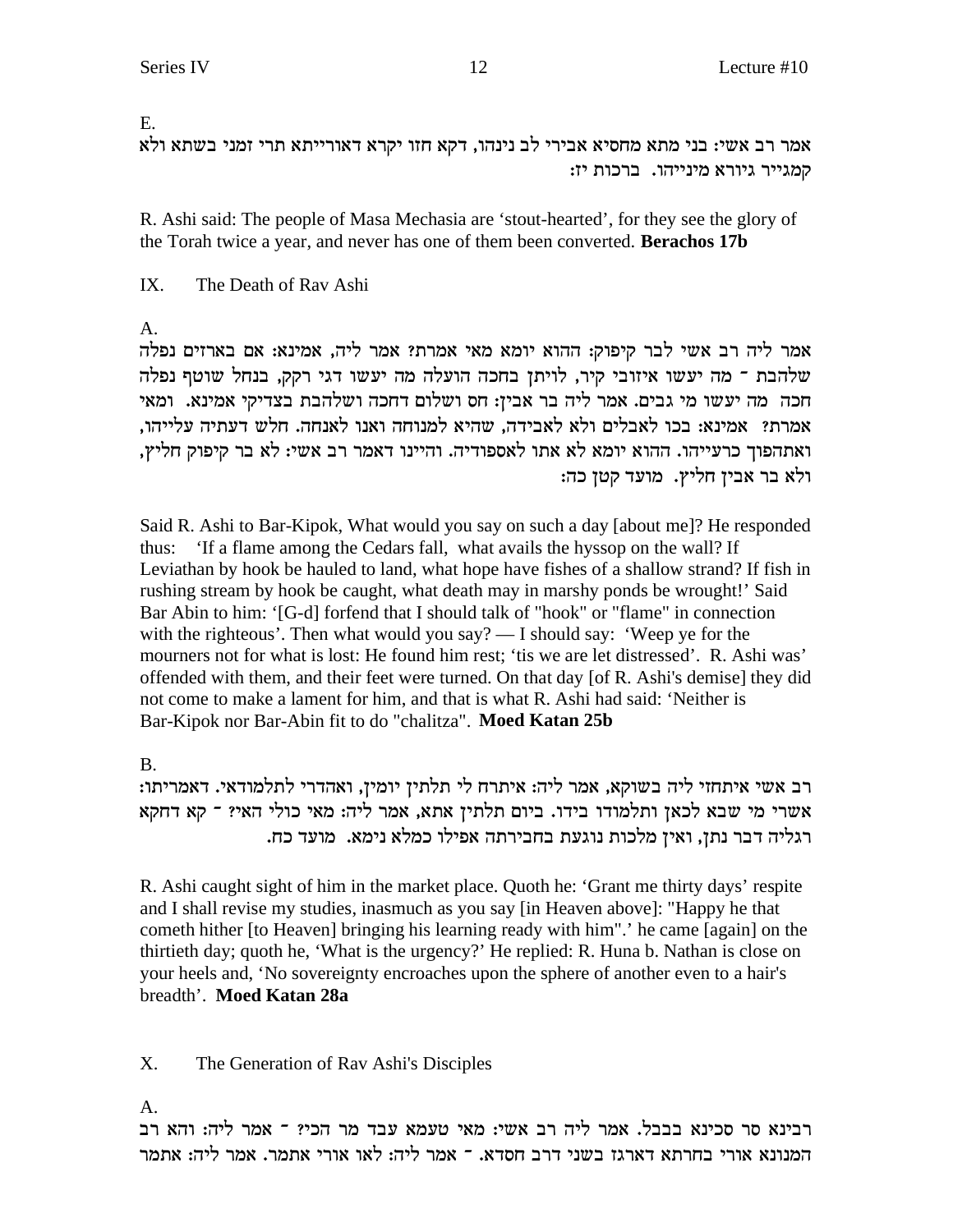E.

אמר רב אשי: בני מתא מחסיא אבירי לב נינהו, דקא חזו יקרא דאורייתא תרי זמני בשתא ולא קמגייר גיורא מינייהו. ברכות יז:

R. Ashi said: The people of Masa Mechasia are 'stout-hearted', for they see the glory of the Torah twice a year, and never has one of them been converted. Berachos 17b

 $IX.$ The Death of Rav Ashi

 $A_{\cdot}$ 

אמר ליה רב אשי לבר קיפוק: ההוא יומא מאי אמרת? אמר ליה, אמינא: אם בארזים נפלה שלהבת ־ מה יעשו איזובי קיר, לויתן בחכה הועלה מה יעשו דגי רקק, בנחל שוטף נפלה חכה מה יעשו מי גבים. אמר ליה בר אבין: חס ושלום דחכה ושלהבת בצדיקי אמינא. ומאי אמרת? אמינא: בכו לאבלים ולא לאבידה, שהיא למנוחה ואנו לאנחה. חלש דעתיה עלייהו, ואתהפוך כרעייהו. ההוא יומא לא אתו לאספודיה. והיינו דאמר רב אשי: לא בר קיפוק חליץ, ולא בר אבין חליץ. מועד קטן כה:

Said R. Ashi to Bar-Kipok, What would you say on such a day [about me]? He responded thus: 'If a flame among the Cedars fall, what avails the hyssop on the wall? If Leviathan by hook be hauled to land, what hope have fishes of a shallow strand? If fish in rushing stream by hook be caught, what death may in marshy ponds be wrought!' Said Bar Abin to him: '[G-d] forfend that I should talk of "hook" or "flame" in connection with the righteous'. Then what would you say? — I should say: 'Weep ye for the mourners not for what is lost: He found him rest; 'tis we are let distressed'. R. Ashi was' offended with them, and their feet were turned. On that day [of R. Ashi's demise] they did not come to make a lament for him, and that is what R. Ashi had said: 'Neither is Bar-Kipok nor Bar-Abin fit to do "chalitza". Moed Katan 25b

 $B<sub>1</sub>$ 

רב אשי איתחזי ליה בשוקא, אמר ליה: איתרח לי תלתין יומין, ואהדרי לתלמודאי. דאמריתו: אשרי מי שבא לכאן ותלמודו בידו. ביום תלתין אתא, אמר ליה: מאי כולי האי? ־ קא דחקא רגליה דבר נתן, ואין מלכות נוגעת בחבירתה אפילו כמלא נימא. מועד כח.

R. Ashi caught sight of him in the market place. Quoth he: 'Grant me thirty days' respite and I shall revise my studies, inasmuch as you say [in Heaven above]: "Happy he that cometh hither [to Heaven] bringing his learning ready with him".' he came [again] on the thirtieth day; quoth he, 'What is the urgency?' He replied: R. Huna b. Nathan is close on your heels and, 'No sovereignty encroaches upon the sphere of another even to a hair's breadth'. Moed Katan 28a

 $X_{-}$ The Generation of Rav Ashi's Disciples

 $A_{\cdot}$ 

רבינא סר סכינא בבבל. אמר ליה רב אשי: מאי טעמא עבד מר הכי? ־ אמר ליה: והא רב המנונא אורי בחרתא דארגז בשני דרב חסדא. ־ אמר ליה: לאו אורי אתמר. אמר ליה: אתמר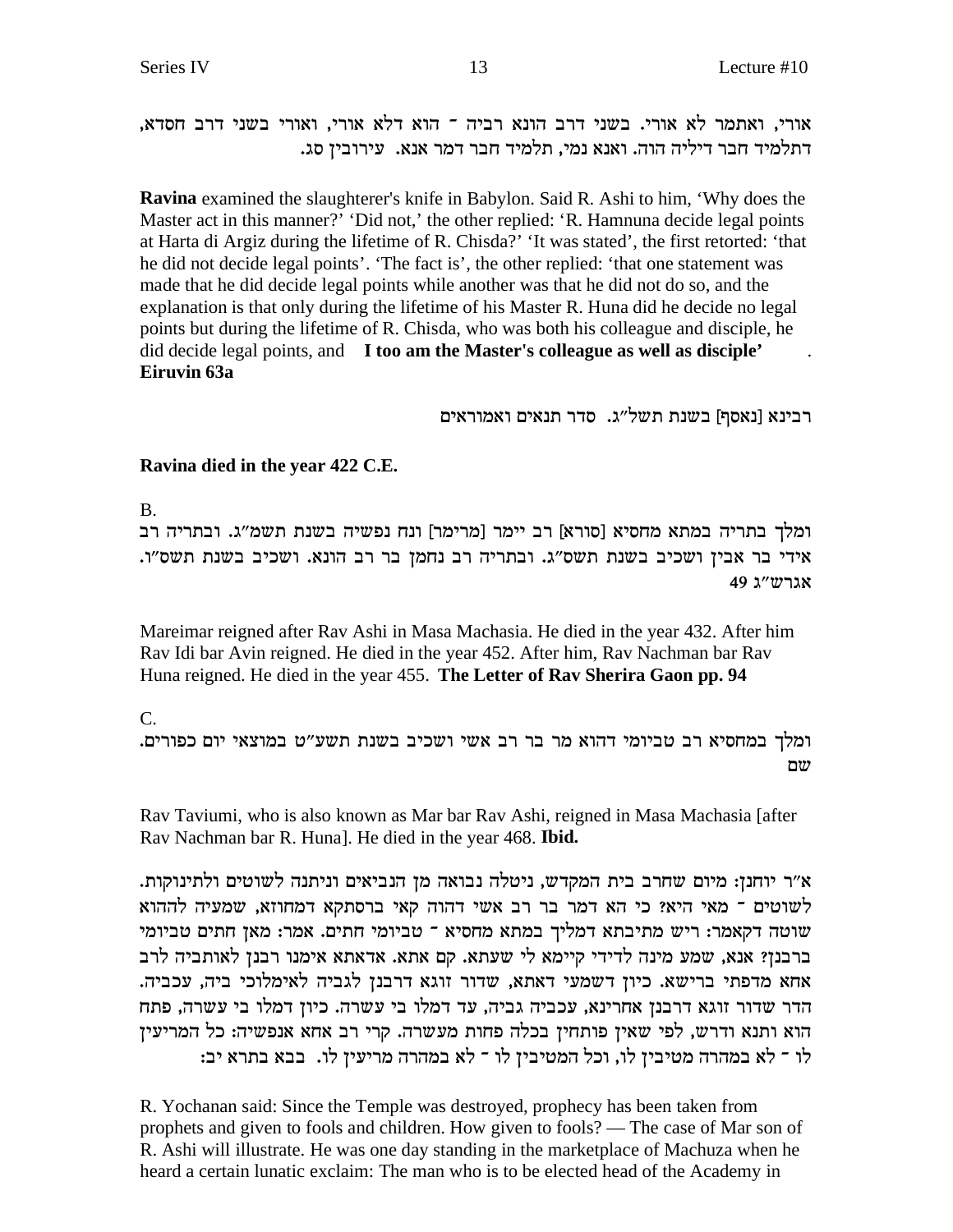, אורי, ואתמר לא אורי. בשני דרב הונא רביה <sup>-</sup> הוא דלא אורי, ואורי בשני דרב חסדא . דתלמיד חבר דיליה הוה. ואנא נמי, תלמיד חבר דמר אנא. עירובין סג

**Ravina** examined the slaughterer's knife in Babylon. Said R. Ashi to him, 'Why does the Master act in this manner?' 'Did not,' the other replied: 'R. Hamnuna decide legal points at Harta di Argiz during the lifetime of R. Chisda?' 'It was stated', the first retorted: 'that he did not decide legal points'. 'The fact is', the other replied: 'that one statement was made that he did decide legal points while another was that he did not do so, and the explanation is that only during the lifetime of his Master R. Huna did he decide no legal points but during the lifetime of R. Chisda, who was both his colleague and disciple, he did decide legal points, and **I too am the Master's colleague as well as disciple'** . **Eiruvin 63a**

רבינא [נאסף] בשנת תשל"ג. סדר תנאים ואמוראים

# **Ravina died in the year 422 C.E.**

B.

ומלך בתריה במתא מחסיא [סורא] רב יימר [מרימר] ונח נפשיה בשנת תשמ״ג. ובתריה רב .אידי בר אבין ושכיב בשנת תשס"ג. ובתריה רב נחמן בר רב הונא. ושכיב בשנת תשס"ו 49 אגרש"ג

Mareimar reigned after Rav Ashi in Masa Machasia. He died in the year 432. After him Rav Idi bar Avin reigned. He died in the year 452. After him, Rav Nachman bar Rav Huna reigned. He died in the year 455. **The Letter of Rav Sherira Gaon pp. 94**

C.

.<br>ומלך במחסיא רב טביומי דהוא מר בר רב אשי ושכיב בשנת תשע״ט במוצאי יום כפורים my

Rav Taviumi, who is also known as Mar bar Rav Ashi, reigned in Masa Machasia [after Rav Nachman bar R. Huna]. He died in the year 468. **Ibid.**

.<br>א״ר יוחנן: מיום שחרב בית המקדש, ניטלה נבואה מן הנביאים וניתנה לשוטים ולתינוקות לשוטים ־ מאי היא? כי הא דמר בר רב אשי דהוה קאי ברסתקא דמחוזא, שמעיה לההוא שוטה דקאמר: ריש מתיבתא דמליך במתא מחסיא ־ טביומי חתים. אמר: מאן חתים טביומי ברבנן? אנא, שמע מינה לדידי קיימא לי שעתא. קם אתא. אדאתא אימנו רבנן לאותביה לרב .<br>אחא מדפתי ברישא. כיון דשמעי דאתא, שדור זוגא דרבנן לגביה לאימלוכי ביה, עכביה הדר שדור זוגא דרבנן אחרינא, עכביה גביה, עד דמלו בי עשרה, שמח פתח הוא ותנא ודרש, לפי שאין פותחין בכלה פחות מעשרה. קרי רב אחא אנפשיה: כל המריעין  $:$ לו ־ לא במהרה מטיבין לו, וכל המטיבין לו ־ לא במהרה מריעין לו. בבא בתרא יב

R. Yochanan said: Since the Temple was destroyed, prophecy has been taken from prophets and given to fools and children. How given to fools? — The case of Mar son of R. Ashi will illustrate. He was one day standing in the marketplace of Machuza when he heard a certain lunatic exclaim: The man who is to be elected head of the Academy in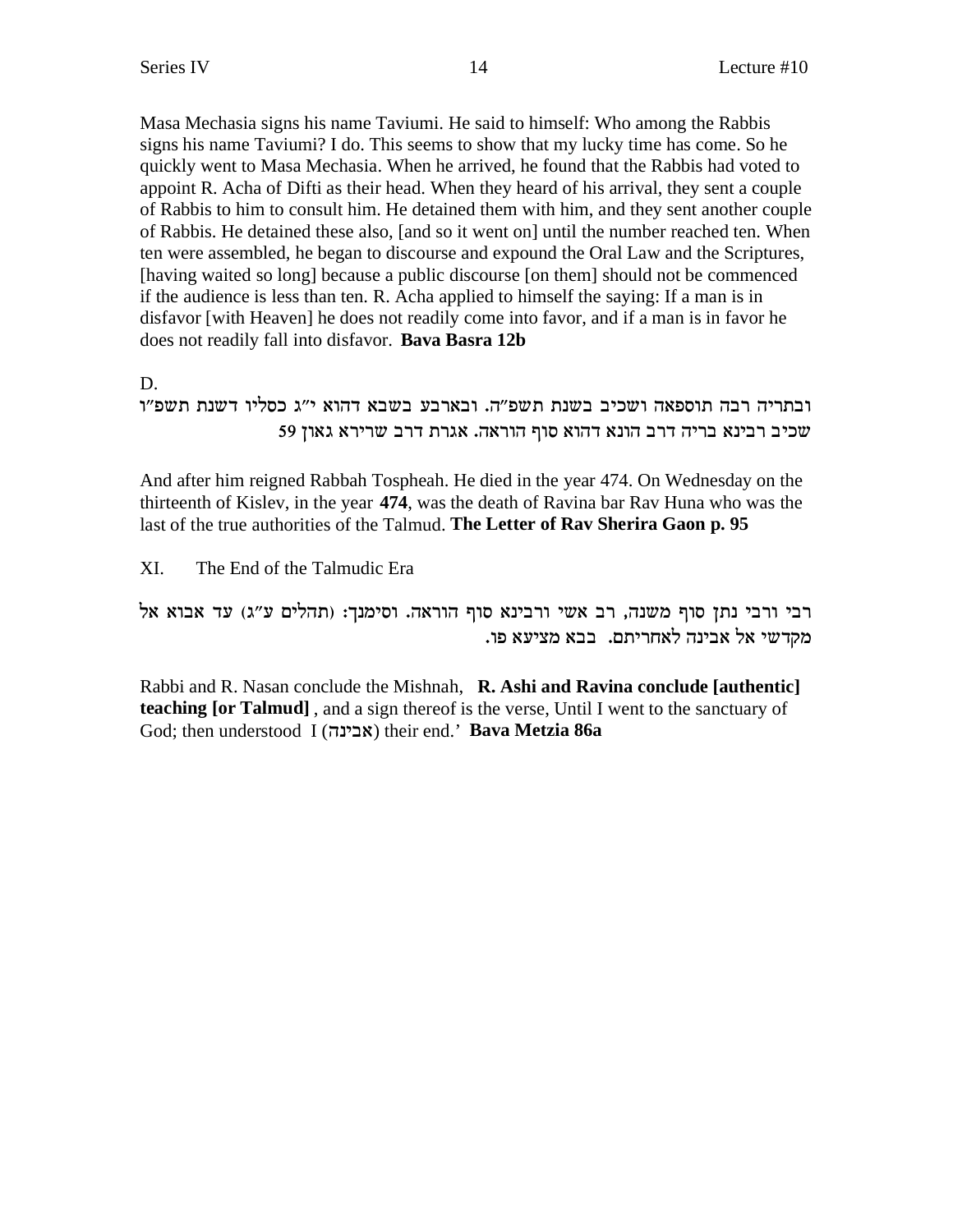Masa Mechasia signs his name Taviumi. He said to himself: Who among the Rabbis signs his name Taviumi? I do. This seems to show that my lucky time has come. So he quickly went to Masa Mechasia. When he arrived, he found that the Rabbis had voted to appoint R. Acha of Difti as their head. When they heard of his arrival, they sent a couple of Rabbis to him to consult him. He detained them with him, and they sent another couple of Rabbis. He detained these also, [and so it went on] until the number reached ten. When ten were assembled, he began to discourse and expound the Oral Law and the Scriptures, [having waited so long] because a public discourse [on them] should not be commenced if the audience is less than ten. R. Acha applied to himself the saying: If a man is in disfavor [with Heaven] he does not readily come into favor, and if a man is in favor he does not readily fall into disfavor. **Bava Basra 12b**

D.

```
ובתריה רבה תוספאה ושכיב בשנת תשפ״ה. ובארבע בשבא דהוא י״ג כסליו דשנת תשפ״ו
   59 שכיב רבינא בריה דרב הונא דהוא סוף הוראה. אגרת דרב שרירא גאון
```
And after him reigned Rabbah Tospheah. He died in the year 474. On Wednesday on the thirteenth of Kislev, in the year **474**, was the death of Ravina bar Rav Huna who was the last of the true authorities of the Talmud. **The Letter of Rav Sherira Gaon p. 95**

XI. The End of the Talmudic Era

רבי ורבי נתן סוף משנה, רב אשי ורבינא סוף הוראה. וסימנך: (תהלים ע"ג) עד אבוא אל .מקדשי אל אבינה לאחריתם. בבא מציעא פו

Rabbi and R. Nasan conclude the Mishnah, **R. Ashi and Ravina conclude [authentic] teaching [or Talmud]** , and a sign thereof is the verse, Until I went to the sanctuary of God; then understood I (dpia`) their end.' **Bava Metzia 86a**